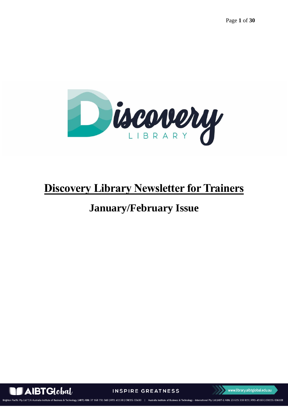

# **Discovery Library Newsletter for Trainers**

# **January/February Issue**



**INSPIRE GREATNESS** 

Business & Technology 815 | RTO: 45169 | CRICOS: 03610E ו רוצוגרט<sup>ק</sup> 1846 ביון אי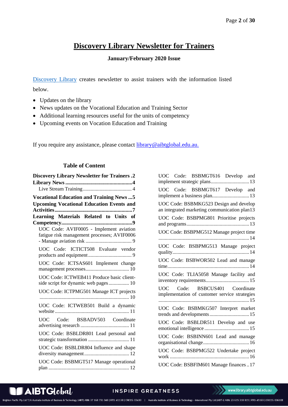# **Discovery Library Newsletter for Trainers**

#### **January/February 2020 Issue**

<span id="page-1-0"></span>[Discovery Library](https://library.aibtglobal.edu.au/?utm_source=greenbar&utm_medium=url) creates newsletter to assist trainers with the information listed below.

- Updates on the library
- News updates on the Vocational Education and Training Sector
- Additional learning resources useful for the units of competency
- Upcoming events on Vocation Education and Training

If you require any assistance, please contact  $\frac{library @aibtglobal.edu.au.}$ 

#### **Table of Content**

| <b>Discovery Library Newsletter for Trainers.2</b> |
|----------------------------------------------------|
|                                                    |
|                                                    |
| <b>Vocational Education and Training News  5</b>   |
| <b>Upcoming Vocational Education Events and</b>    |
|                                                    |
| Learning Materials Related to Units of             |
| UOC Code: AVIF0005 - Implement aviation            |
| fatigue risk management processes; AVIF0006        |
|                                                    |
| UOC Code: ICTICT508 Evaluate vendor                |
|                                                    |
| UOC Code: ICTSAS601 Implement change               |
|                                                    |
| UOC Code: ICTWEB411 Produce basic client-          |
| side script for dynamic web pages 10               |
| UOC Code: ICTPMG501 Manage ICT projects            |
| UOC Code: ICTWEB501 Build a dynamic                |
|                                                    |
| UOC Code: BSBADV503 Coordinate                     |
|                                                    |
| UOC Code: BSBLDR801 Lead personal and              |
| strategic transformation  11                       |
| UOC Code: BSBLDR804 Influence and shape            |
|                                                    |
| UOC Code: BSBMGT517 Manage operational             |
|                                                    |

| UOC Code: BSBMGT616 Develop and<br>implement strategic plans 13                        |
|----------------------------------------------------------------------------------------|
| UOC Code: BSBMGT617 Develop and<br>implement a business plan 13                        |
| UOC Code: BSBMKG523 Design and develop<br>an integrated marketing communication plan13 |
| UOC Code: BSBPMG801 Prioritise projects                                                |
| UOC Code: BSBPMG512 Manage project time                                                |
| UOC Code: BSBPMG513 Manage project                                                     |
| UOC Code: BSBWOR502 Lead and manage                                                    |
| UOC Code: TLIA5058 Manage facility and                                                 |
| UOC Code: BSBCUS401 Coordinate<br>implementation of customer service strategies        |
| UOC Code: BSBMKG507 Interpret market<br>trends and developments 15                     |
| UOC Code: BSBLDR511 Develop and use                                                    |
| UOC Code: BSBINN601 Lead and manage                                                    |
| UOC Code: BSBPMG522 Undertake project                                                  |
| UOC Code: BSBFIM601 Manage finances17                                                  |

# **AIBTGlobal**

## **INSPIRE GREATNESS**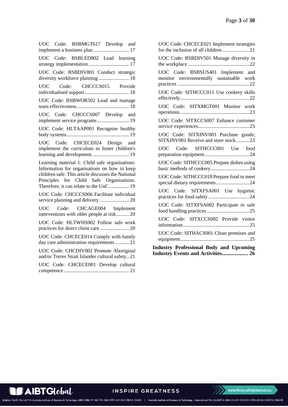| UOC Code: BSBMGT617 Develop and<br>implement a business plan  17                                                                                                                                                                           |
|--------------------------------------------------------------------------------------------------------------------------------------------------------------------------------------------------------------------------------------------|
| UOC Code: BSBLED802 Lead learning<br>strategy implementation 17                                                                                                                                                                            |
| UOC Code: BSBDIV801 Conduct strategic<br>diversity workforce planning 18                                                                                                                                                                   |
| UOC Code: CHCCCS015 Provide                                                                                                                                                                                                                |
| UOC Code: BSBWOR502 Lead and manage                                                                                                                                                                                                        |
| UOC Code: CHCCCS007 Develop and<br>implement service programs 19                                                                                                                                                                           |
| UOC Code: HLTAAP001 Recognise healthy                                                                                                                                                                                                      |
| UOC Code: CHCECE024 Design and<br>implement the curriculum to foster children's<br>learning and development 19                                                                                                                             |
| Learning material 1: Child safe organisations:<br>Information for organisations on how to keep<br>children safe. This article discusses the National<br>Principles for Child Safe Organisations.<br>Therefore, it can relate to the UoC 19 |
| UOC Code: CHCCCS006 Facilitate individual                                                                                                                                                                                                  |
| UOC Code: CHCAGE004 Implement<br>interventions with older people at risk 20                                                                                                                                                                |
| UOC Code: HLTWHS002 Follow safe work                                                                                                                                                                                                       |
| UOC Code: CHCECE014 Comply with family<br>day care administration requirements  21                                                                                                                                                         |
| UOC Code: CHCDIV002 Promote Aboriginal<br>and/or Torres Strait Islander cultural safety 21                                                                                                                                                 |
| UOC Code: CHCECE001 Develop cultural                                                                                                                                                                                                       |

| UOC Code: CHCECE021 Implement strategies                                      |
|-------------------------------------------------------------------------------|
| UOC Code: BSBDIV501 Manage diversity in                                       |
| UOC Code: BSBSUS401 Implement and<br>monitor environmentally sustainable work |
| UOC Code: SITHCCC011 Use cookery skills                                       |
| UOC Code: SITXMGT001 Monitor work                                             |
| UOC Code: SITXCCS007 Enhance customer                                         |
| UOC Code: SITXINV003 Purchase goods;<br>SITXINV001 Receive and store stock23  |
| Code: SITHCCC001 Use food<br><b>UOC</b>                                       |
| UOC Code: SITHCCC005 Prepare dishes using                                     |
| UOC Code: SITHCCC018 Prepare food to meet<br>special dietary requirements24   |
| UOC Code: SITXFSA001 Use hygienic                                             |
| UOC Code: SITXFSA002 Participate in safe                                      |
| UOC Code: SITXCCS002 Provide visitor                                          |
| UOC Code: SITHACS001 Clean premises and                                       |
| <b>Industry Professional Body and Upcoming</b>                                |

**[Industry Events and Activities....................](#page-25-0) 26**

 $\blacksquare$  AIBTG $\ell$ cba $\ell$ 

INSPIRE GREATNESS

www.library.aibtglobal.edu.au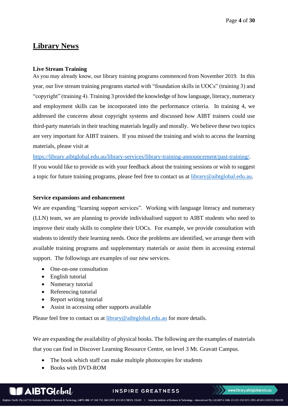# <span id="page-3-0"></span>**Library News**

#### <span id="page-3-1"></span>**Live Stream Training**

As you may already know, our library training programs commenced from November 2019. In this year, our live stream training programs started with "foundation skills in UOCs" (training 3) and "copyright" (training 4). Training 3 provided the knowledge of how language, literacy, numeracy and employment skills can be incorporated into the performance criteria. In training 4, we addressed the concerns about copyright systems and discussed how AIBT trainers could use third-party materials in their teaching materials legally and morally. We believe these two topics are very important for AIBT trainers. If you missed the training and wish to access the learning materials, please visit at

[https://library.aibtglobal.edu.au/library-services/library-training-announcement/past-training/.](https://library.aibtglobal.edu.au/library-services/library-training-announcement/past-training/) If you would like to provide us with your feedback about the training sessions or wish to suggest a topic for future training programs, please feel free to contact us at [library@aibtglobal.edu.au.](mailto:library@aibtglobal.edu.au)

#### **Service expansions and enhancement**

We are expanding "learning support services". Working with language literacy and numeracy (LLN) team, we are planning to provide individualised support to AIBT students who need to improve their study skills to complete their UOCs. For example, we provide consultation with students to identify their learning needs. Once the problems are identified, we arrange them with available training programs and supplementary materials or assist them in accessing external support. The followings are examples of our new services.

- One-on-one consultation
- English tutorial
- Numeracy tutorial
- Referencing tutorial
- Report writing tutorial
- Assist in accessing other supports available

Please feel free to contact us at **library@aibtglobal.edu.au** for more details.

We are expanding the availability of physical books. The following are the examples of materials that you can find in Discover Learning Resource Centre, on level 3 Mt. Gravatt Campus.

- The book which staff can make multiple photocopies for students
- Books with DVD-ROM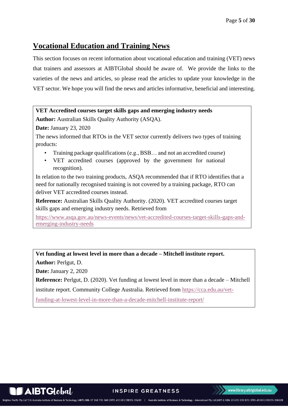# <span id="page-4-0"></span>**Vocational Education and Training News**

This section focuses on recent information about vocational education and training (VET) news that trainers and assessors at AIBTGlobal should be aware of. We provide the links to the varieties of the news and articles, so please read the articles to update your knowledge in the VET sector. We hope you will find the news and articles informative, beneficial and interesting.

# **VET Accredited courses target skills gaps and emerging industry needs**

**Author:** Australian Skills Quality Authority (ASQA).

**Date:** January 23, 2020

The news informed that RTOs in the VET sector currently delivers two types of training products:

- Training package qualifications (e.g., BSB... and not an accredited course)
- VET accredited courses (approved by the government for national recognition).

In relation to the two training products, ASQA recommended that if RTO identifies that a need for nationally recognised training is not covered by a training package, RTO can deliver VET accredited courses instead.

**Reference:** Australian Skills Quality Authority. (2020). VET accredited courses target skills gaps and emerging industry needs. Retrieved from

[https://www.asqa.gov.au/news-events/news/vet-accredited-courses-target-skills-gaps-and](https://www.asqa.gov.au/news-events/news/vet-accredited-courses-target-skills-gaps-and-emerging-industry-needs)[emerging-industry-needs](https://www.asqa.gov.au/news-events/news/vet-accredited-courses-target-skills-gaps-and-emerging-industry-needs)

**Vet funding at lowest level in more than a decade – Mitchell institute report.**

**Author:** Perlgut, D.

**Date:** January 2, 2020

**Reference:** Perlgut, D. (2020). Vet funding at lowest level in more than a decade – Mitchell

institute report. Community College Australia. Retrieved from [https://cca.edu.au/vet-](https://cca.edu.au/vet-funding-at-lowest-level-in-more-than-a-decade-mitchell-institute-report/)

[funding-at-lowest-level-in-more-than-a-decade-mitchell-institute-report/](https://cca.edu.au/vet-funding-at-lowest-level-in-more-than-a-decade-mitchell-institute-report/)

 $\blacktriangleright$  AIBTG $\text{Clobal}/\text{C}$ 

**INSPIRE GREATNESS**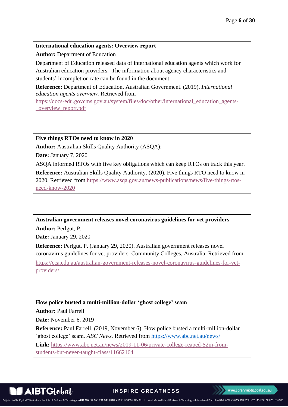#### **International education agents: Overview report**

**Author:** Department of Education

Department of Education released data of international education agents which work for Australian education providers. The information about agency characteristics and students' incompletion rate can be found in the document.

**Reference:** Department of Education, Australian Government. (2019). *International education agents overview.* Retrieved from

[https://docs-edu.govcms.gov.au/system/files/doc/other/international\\_education\\_agents-](https://docs-edu.govcms.gov.au/system/files/doc/other/international_education_agents-_overview_report.pdf) [\\_overview\\_report.pdf](https://docs-edu.govcms.gov.au/system/files/doc/other/international_education_agents-_overview_report.pdf)

#### **Five things RTOs need to know in 2020**

**Author:** Australian Skills Quality Authority (ASQA):

**Date:** January 7, 2020

ASQA informed RTOs with five key obligations which can keep RTOs on track this year.

**Reference:** Australian Skills Quality Authority. (2020). Five things RTO need to know in 2020. Retrieved from [https://www.asqa.gov.au/news-publications/news/five-things-rtos](https://www.asqa.gov.au/news-publications/news/five-things-rtos-need-know-2020)[need-know-2020](https://www.asqa.gov.au/news-publications/news/five-things-rtos-need-know-2020)

**Australian government releases novel coronavirus guidelines for vet providers**

**Author:** Perlgut, P.

**Date:** January 29, 2020

**Reference:** Perlgut, P. (January 29, 2020). Australian government releases novel coronavirus guidelines for vet providers. Community Colleges, Australia. Retrieved from

[https://cca.edu.au/australian-government-releases-novel-coronavirus-guidelines-for-vet](https://cca.edu.au/australian-government-releases-novel-coronavirus-guidelines-for-vet-providers/)[providers/](https://cca.edu.au/australian-government-releases-novel-coronavirus-guidelines-for-vet-providers/)

**How police busted a multi-million-dollar 'ghost college' scam**

**Author:** Paul Farrell

**Date:** November 6, 2019

**Reference:** Paul Farrell. (2019, November 6). How police busted a multi-million-dollar 'ghost college' scam. *ABC News.* Retrieved from <https://www.abc.net.au/news/>

**Link:** [https://www.abc.net.au/news/2019-11-06/private-college-reaped-\\$2m-from-](https://www.abc.net.au/news/2019-11-06/private-college-reaped-$2m-from-students-but-never-taught-class/11662164)

[students-but-never-taught-class/11662164](https://www.abc.net.au/news/2019-11-06/private-college-reaped-$2m-from-students-but-never-taught-class/11662164)

 $\blacksquare$ AIBT $\boldsymbol{\mathsf{G}}$ lobal $\ell$ 

**INSPIRE GREATNESS**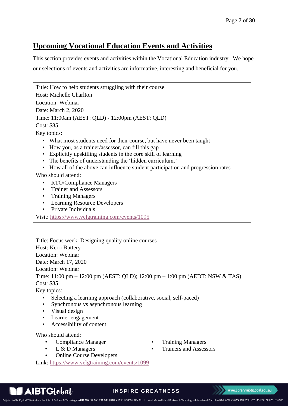# <span id="page-6-0"></span>**Upcoming Vocational Education Events and Activities**

This section provides events and activities within the Vocational Education industry. We hope our selections of events and activities are informative, interesting and beneficial for you.

Title: How to help students struggling with their course Host: Michelle Charlton Location: Webinar Date: March 2, 2020 Time: 11:00am (AEST: QLD) - 12:00pm (AEST: QLD) Cost: \$85 Key topics: • What most students need for their course, but have never been taught • How you, as a trainer/assessor, can fill this gap • Explicitly upskilling students in the core skill of learning • The benefits of understanding the 'hidden curriculum.' • How all of the above can influence student participation and progression rates Who should attend: • RTO/Compliance Managers • Trainer and Assessors • Training Managers • Learning Resource Developers • Private Individuals Visit:<https://www.velgtraining.com/events/1095>

Title: Focus week: Designing quality online courses Host: Kerri Buttery Location: Webinar Date: March 17, 2020 Location: Webinar Time: 11:00 pm – 12:00 pm (AEST: QLD); 12:00 pm – 1:00 pm (AEDT: NSW & TAS) Cost: \$85 Key topics:

- Selecting a learning approach (collaborative, social, self-paced)
- Synchronous vs asynchronous learning
- Visual design
- Learner engagement
- Accessibility of content

Who should attend:

- Compliance Manager Training Managers
- 
- 
- L & D Managers Trainers and Assessors
- Online Course Developers

Link:<https://www.velgtraining.com/events/1099>



#### **INSPIRE GREATNESS**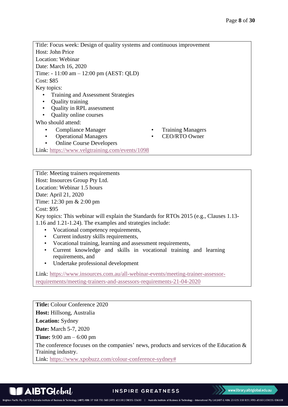Title: Focus week: Design of quality systems and continuous improvement Host: John Price Location: Webinar Date: March 16, 2020 Time: - 11:00 am – 12:00 pm (AEST: QLD) Cost: \$85 Key topics: • Training and Assessment Strategies • Quality training • Quality in RPL assessment • Quality online courses Who should attend: • Compliance Manager • Training Managers • Operational Managers • CEO/RTO Owner • Online Course Developers Link:<https://www.velgtraining.com/events/1098>

Title: Meeting trainers requirements Host: Insources Group Pty Ltd. Location: Webinar 1.5 hours Date: April 21, 2020 Time: 12:30 pm & 2:00 pm Cost: \$95 Key topics: This webinar will explain the Standards for RTOs 2015 (e.g., Clauses 1.13- 1.16 and 1.21-1.24). The examples and strategies include:

- Vocational competency requirements,
- Current industry skills requirements,
- Vocational training, learning and assessment requirements,
- Current knowledge and skills in vocational training and learning requirements, and
- Undertake professional development

Link: [https://www.insources.com.au/all-webinar-events/meeting-trainer-assessor](https://www.insources.com.au/all-webinar-events/meeting-trainer-assessor-requirements/meeting-trainers-and-assessors-requirements-21-04-2020)[requirements/meeting-trainers-and-assessors-requirements-21-04-2020](https://www.insources.com.au/all-webinar-events/meeting-trainer-assessor-requirements/meeting-trainers-and-assessors-requirements-21-04-2020)

**Title:** Colour Conference 2020 **Host:** Hillsong, Australia **Location:** Sydney **Date:** March 5-7, 2020 **Time:** 9:00 am – 6:00 pm The conference focuses on the companies' news, products and services of the Education  $\&$ Training industry. Link: [https://www.xpobuzz.com/colour-conference-sydney#](https://www.xpobuzz.com/colour-conference-sydney)

**INSPIRE GREATNESS** 

www.library.aibtglobal.edu.au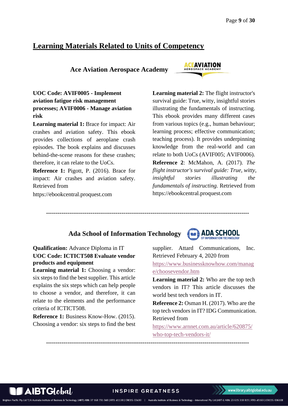# <span id="page-8-0"></span>**Learning Materials Related to Units of Competency**

 **Ace Aviation Aerospace Academy**



<span id="page-8-1"></span>**UOC Code: AVIF0005 - Implement aviation fatigue risk management processes; AVIF0006 - Manage aviation risk**

**Learning material 1:** Brace for impact: Air crashes and aviation safety. This ebook provides collections of aeroplane crash episodes. The book explains and discusses behind-the-scene reasons for these crashes; therefore, it can relate to the UoCs.

**Reference 1:** Pigott, P. (2016). Brace for impact: Air crashes and aviation safety. Retrieved from

https://ebookcentral.proquest.com

**Learning material 2:** The flight instructor's survival guide: True, witty, insightful stories illustrating the fundamentals of instructing. This ebook provides many different cases from various topics (e.g., human behaviour; learning process; effective communication; teaching process). It provides underpinning knowledge from the real-world and can relate to both UoCs (AVIF005; AVIF0006). **Reference 2**: McMahon, A. (2017). *The flight instructor's survival guide: True, witty, insightful stories illustrating the fundamentals of instructing.* Retrieved from https://ebookcentral.proquest.com

## **Ada School of Information Technology**

**---------------------------------------------------------------------------------------------------------**



<span id="page-8-2"></span>**Qualification:** Advance Diploma in IT **UOC Code: ICTICT508 Evaluate vendor products and equipment**

**Learning material 1:** Choosing a vendor: six steps to find the best supplier. This article explains the six steps which can help people to choose a vendor, and therefore, it can relate to the elements and the performance criteria of ICTICT508.

**Reference 1:** Business Know-How. (2015). Choosing a vendor: six steps to find the best

supplier. Attard Communications, Inc. Retrieved February 4, 2020 from [https://www.businessknowhow.com/manag](https://www.businessknowhow.com/manage/choosevendor.htm) [e/choosevendor.htm](https://www.businessknowhow.com/manage/choosevendor.htm)

**Learning material 2:** Who are the top tech vendors in IT? This article discusses the world best tech vendors in IT.

**Reference 2:** Osman H. (2017). Who are the top tech vendors in IT? IDG Communication. Retrieved from

[https://www.arnnet.com.au/article/620875/](https://www.arnnet.com.au/article/620875/who-top-tech-vendors-it/) [who-top-tech-vendors-it/](https://www.arnnet.com.au/article/620875/who-top-tech-vendors-it/)

 $A$ IBT $G$ lobal

**INSPIRE GREATNESS** 

-<br>hnology (AIBT) ABN: 37 168 731 048 | RTO: 41138 | CRICOS: 03430 | Australia Institute of Business & Technology - International Pty Ltd (AIBT-I) ABN: 23 615 318 815 | RTO: 45169 | CRICOS: 03610E

**---------------------------------------------------------------------------------------------------------**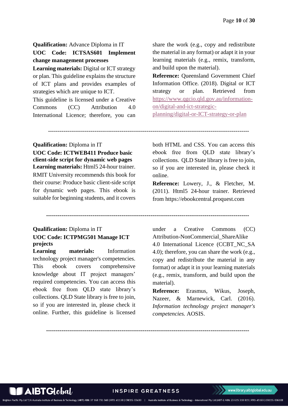<span id="page-9-0"></span>**Qualification:** Advance Diploma in IT **UOC Code: ICTSAS601 Implement change management processes**

**Learning materials:** Digital or ICT strategy or plan. This guideline explains the structure of ICT plans and provides examples of strategies which are unique to ICT. This guideline is licensed under a Creative

Commons (CC) Attribution 4.0 International Licence; therefore, you can share the work (e.g., copy and redistribute the material in any format) or adapt it in your learning materials (e.g., remix, transform, and build upon the material).

**Reference:** Queensland Government Chief Information Office. (2018). Digital or ICT strategy or plan. Retrieved from [https://www.qgcio.qld.gov.au/information](https://www.qgcio.qld.gov.au/information-on/digital-and-ict-strategic-planning/digital-or-ICT-strategy-or-plan)[on/digital-and-ict-strategic](https://www.qgcio.qld.gov.au/information-on/digital-and-ict-strategic-planning/digital-or-ICT-strategy-or-plan)[planning/digital-or-ICT-strategy-or-plan](https://www.qgcio.qld.gov.au/information-on/digital-and-ict-strategic-planning/digital-or-ICT-strategy-or-plan)

**Qualification:** Diploma in IT

<span id="page-9-1"></span>**UOC Code: ICTWEB411 Produce basic client-side script for dynamic web pages Learning materials:** Html5 24-hour trainer. RMIT University recommends this book for their course: Produce basic client-side script for dynamic web pages. This ebook is suitable for beginning students, and it covers

<span id="page-9-2"></span>**Qualification:** Diploma in IT **UOC Code: ICTPMG501 Manage ICT projects**

**Learning materials:** Information technology project manager's competencies. This ebook covers comprehensive knowledge about IT project managers' required competencies. You can access this ebook free from QLD state library's collections. QLD State library is free to join, so if you are interested in, please check it online. Further, this guideline is licensed both HTML and CSS. You can access this ebook free from QLD state library's collections. QLD State library is free to join, so if you are interested in, please check it online.

**Reference:** Lowery, J., & Fletcher, M. (2011). Html5 24-hour trainer. Retrieved from https://ebookcentral.proquest.com

under a Creative Commons (CC) Attribution-NonCommercial\_ShareAlike

4.0 International Licence (CCBT\_NC\_SA 4.0); therefore, you can share the work (e.g., copy and redistribute the material in any format) or adapt it in your learning materials (e.g., remix, transform, and build upon the material).

**Reference:** Erasmus, Wikus, Joseph, Nazeer, & Marnewick, Carl. (2016). *Information technology project manager's competencies.* AOSIS.

**---------------------------------------------------------------------------------------------------------**

--------------------------------------------------------------------------------------------------------

**---------------------------------------------------------------------------------------------------------**

**AIBTGlobal** 

**INSPIRE GREATNESS**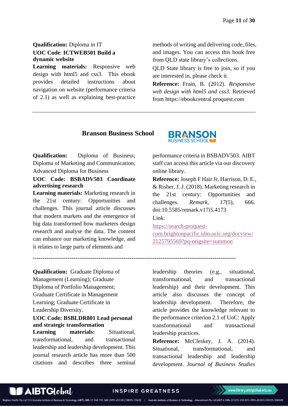## <span id="page-10-0"></span>**Qualification:** Diploma in IT **UOC Code**: **ICTWEB501 Build a dynamic website**

**Learning materials:** Responsive web design with html5 and css3. This ebook provides detailed instructions about navigation on website (performance criteria of 2.1) as well as explaining best-practice

methods of writing and delivering code, files, and images. You can access this book free from QLD state library's collections.

QLD State library is free to join, so if you are interested in, please check it.

**Reference:** Frain, B. (2012). *Responsive web design with html5 and css3.* Retrieved from https://ebookcentral.proquest.com

### **Branson Business School**

**Qualification:** Diploma of Business; Diploma of Marketing and Communication; Advanced Diploma for Business

#### <span id="page-10-1"></span>**UOC Code: BSBADV503 Coordinate advertising research**

**Learning materials:** Marketing research in the 21st century: Opportunities and challenges. This journal article discusses that modern markets and the emergence of big data transformed how marketers design research and analyse the data. The content can enhance our marketing knowledge, and it relates to large parts of elements and



performance criteria in BSBADV503. AIBT staff can access this article via our discovery online library.

**Reference:** Joseph F Hair Jr, Harrison, D. E., & Risher, J. J. (2018). Marketing research in the 21st century: Opportunities and challenges. *Remark, 17*(5), 666. doi:10.5585/remark.v17i5.4173

Link:

**---------------------------------------------------------------------------------------------------------**

[https://search-proquest-](https://search-proquest-com.brightonpacific.idm.oclc.org/docview/2125795569?pq-origsite=summon)

[com.brightonpacific.idm.oclc.org/docview/](https://search-proquest-com.brightonpacific.idm.oclc.org/docview/2125795569?pq-origsite=summon) [2125795569?pq-origsite=summon](https://search-proquest-com.brightonpacific.idm.oclc.org/docview/2125795569?pq-origsite=summon)

**Qualification:** Graduate Diploma of Management (Learning); Graduate Diploma of Portfolio Management; Graduate Certificate in Management Learning; Graduate Certificate in Leadership Diversity.

#### <span id="page-10-2"></span>**UOC Code: BSBLDR801 Lead personal and strategic transformation**

**Learning materials:** Situational, transformational, and transactional leadership and leadership development. This journal research article has more than 500 citations and describes three seminal

leadership theories (e.g., situational, transformational, and transactional leadership) and their development. This article also discusses the concept of leadership development. Therefore, the article provides the knowledge relevant to the performance criterion 2.1 of UoC: Apply transformational and transactional leadership practices.

**Reference:** McCleskey, J. A. (2014). Situational, transformational, and transactional leadership and leadership development. *Journal of Business Studies* 

## **INSPIRE GREATNESS**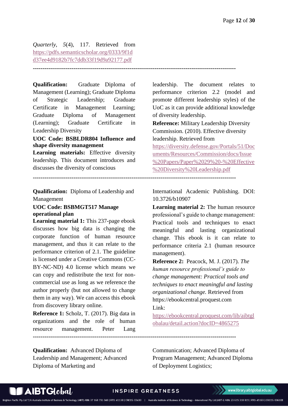*Quarterly, 5*(4), 117. Retrieved from [https://pdfs.semanticscholar.org/0333/9f1d](https://pdfs.semanticscholar.org/0333/9f1dd37ee4d9182b7fc7ddb33f19d9a92177.pdf) [d37ee4d9182b7fc7ddb33f19d9a92177.pdf](https://pdfs.semanticscholar.org/0333/9f1dd37ee4d9182b7fc7ddb33f19d9a92177.pdf)

**---------------------------------------------------------------------------------------------------------**

**Qualification:** Graduate Diploma of Management (Learning); Graduate Diploma of Strategic Leadership; Graduate Certificate in Management Learning; Graduate Diploma of Management (Learning); Graduate Certificate in Leadership Diversity

#### <span id="page-11-0"></span>**UOC Code: BSBLDR804 Influence and shape diversity management**

**Learning materials:** Effective diversity leadership. This document introduces and discusses the diversity of conscious

**Qualification:** Diploma of Leadership and Management

#### <span id="page-11-1"></span>**UOC Code: BSBMGT517 Manage operational plan**

**Learning material 1:** This 237-page ebook discusses how big data is changing the corporate function of human resource management, and thus it can relate to the performance criterion of 2.1. The guideline is licensed under a Creative Commons (CC-BY-NC-ND) 4.0 license which means we can copy and redistribute the text for noncommercial use as long as we reference the author properly (but not allowed to change them in any way). We can access this ebook from discovery library online.

**Reference 1:** Scholz, T. (2017). Big data in organizations and the role of human resource management. Peter Lang **---------------------------------------------------------------------------------------------------------**

**Qualification:** Advanced Diploma of Leadership and Management; Advanced Diploma of Marketing and

leadership. The document relates to performance criterion 2.2 (model and promote different leadership styles) of the UoC as it can provide additional knowledge of diversity leadership.

**Reference:** Military Leadership Diversity Commission. (2010). Effective diversity leadership. Retrieved from

[https://diversity.defense.gov/Portals/51/Doc](https://diversity.defense.gov/Portals/51/Documents/Resources/Commission/docs/Issue%20Papers/Paper%2029%20-%20Effective%20Diversity%20Leadership.pdf) [uments/Resources/Commission/docs/Issue](https://diversity.defense.gov/Portals/51/Documents/Resources/Commission/docs/Issue%20Papers/Paper%2029%20-%20Effective%20Diversity%20Leadership.pdf) [%20Papers/Paper%2029%20-%20Effective](https://diversity.defense.gov/Portals/51/Documents/Resources/Commission/docs/Issue%20Papers/Paper%2029%20-%20Effective%20Diversity%20Leadership.pdf) [%20Diversity%20Leadership.pdf](https://diversity.defense.gov/Portals/51/Documents/Resources/Commission/docs/Issue%20Papers/Paper%2029%20-%20Effective%20Diversity%20Leadership.pdf)

**---------------------------------------------------------------------------------------------------------**

International Academic Publishing. DOI: 10.3726/b10907

**Learning material 2:** The human resource professional's guide to change management: Practical tools and techniques to enact meaningful and lasting organizational change. This ebook is it can relate to performance criteria 2.1 (human resource management).

**Reference 2:** Peacock, M. J. (2017). *The human resource professional's guide to change management: Practical tools and techniques to enact meaningful and lasting organizational change.* Retrieved from https://ebookcentral.proquest.com

Link:

[https://ebookcentral.proquest.com/lib/aibtgl](https://ebookcentral.proquest.com/lib/aibtglobalau/detail.action?docID=4865275) [obalau/detail.action?docID=4865275](https://ebookcentral.proquest.com/lib/aibtglobalau/detail.action?docID=4865275)

Communication; Advanced Diploma of Program Management; Advanced Diploma of Deployment Logistics;

#### **INSPIRE GREATNESS**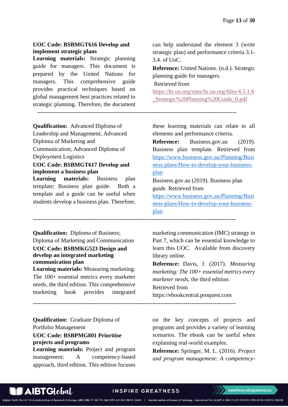#### <span id="page-12-0"></span>**UOC Code: BSBMGT616 Develop and implement strategic plans**

**Learning materials:** Strategic planning guide for managers. This document is prepared by the United Nations for managers. This comprehensive guide provides practical techniques based on global management best practices related to strategic planning. Therefore, the document can help understand the element 3 (write strategic plan) and performance criteria 3.1- 3.4. of UoC.

**Reference:** United Nations. (n.d.). Strategic planning guide for managers.

Retrieved from

[https://hr.un.org/sites/hr.un.org/files/4.5.1.6](https://hr.un.org/sites/hr.un.org/files/4.5.1.6_Strategic%20Planning%20Guide_0.pdf) [\\_Strategic%20Planning%20Guide\\_0.pdf](https://hr.un.org/sites/hr.un.org/files/4.5.1.6_Strategic%20Planning%20Guide_0.pdf)

**-------------------------------------------------------------------------------------------------------**

**---------------------------------------------------------------------------------------------------------**

**Qualification:** Advanced Diploma of Leadership and Management; Advanced Diploma of Marketing and Communication; Advanced Diploma of Deployment Logistics

#### <span id="page-12-1"></span>**UOC Code: BSBMGT617 Develop and implement a business plan**

**Learning materials:** Business plan template; Business plan guide. Both a template and a guide can be useful when students develop a business plan. Therefore,

<span id="page-12-2"></span>**Qualification:** Diploma of Business; Diploma of Marketing and Communication **UOC Code: BSBMKG523 Design and develop an integrated marketing communication plan**

**Learning materials:** Measuring marketing: The 100+ essential metrics every marketer needs, the third edition. This comprehensive marketing book provides integrated

**Qualification:** Graduate Diploma of Portfolio Management **UOC Code: BSBPMG801 Prioritise** 

<span id="page-12-3"></span>**projects and programs**

**Learning materials:** Project and program management: A competency-based approach, third edition. This edition focuses

these learning materials can relate to all elements and performance criteria.

**Reference:** Business.gov.au (2019). Business plan template. Retrieved from [https://www.business.gov.au/Planning/Busi](https://www.business.gov.au/Planning/Business-plans/How-to-develop-your-business-plan) [ness-plans/How-to-develop-your-business](https://www.business.gov.au/Planning/Business-plans/How-to-develop-your-business-plan)[plan](https://www.business.gov.au/Planning/Business-plans/How-to-develop-your-business-plan)

Business.gov.au (2019). Business plan guide. Retrieved from

[https://www.business.gov.au/Planning/Busi](https://www.business.gov.au/Planning/Business-plans/How-to-develop-your-business-plan) [ness-plans/How-to-develop-your-business](https://www.business.gov.au/Planning/Business-plans/How-to-develop-your-business-plan)[plan](https://www.business.gov.au/Planning/Business-plans/How-to-develop-your-business-plan)

marketing communication (IMC) strategy in Part 7, which can be essential knowledge to learn this UOC. Available from discovery library online.

**Reference:** Davis, J. (2017). *Measuring marketing: The 100+ essential metrics every marketer needs*, the third edition. Retrieved from https://ebookcentral.proquest.com

**---------------------------------------------------------------------------------------------------------**

on the key concepts of projects and programs and provides a variety of learning scenarios. The ebook can be useful when explaining real-world examples.

**Reference:** Springer, M. L. (2016). *Project and program management: A competency-*

#### **INSPIRE GREATNESS**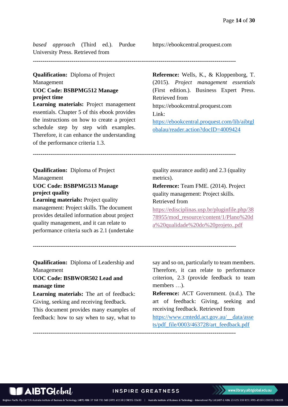*based approach* (Third ed.). Purdue University Press. Retrieved from

**---------------------------------------------------------------------------------------------------------**

### **Qualification:** Diploma of Project Management **UOC Code: BSBPMG512 Manage project time**

<span id="page-13-0"></span>**Learning materials:** Project management essentials. Chapter 5 of this ebook provides the instructions on how to create a project schedule step by step with examples. Therefore, it can enhance the understanding of the performance criteria 1.3.

https://ebookcentral.proquest.com

**Reference:** Wells, K., & Kloppenborg, T. (2015). *Project management essentials* (First edition.). Business Expert Press. Retrieved from https://ebookcentral.proquest.com Link: [https://ebookcentral.proquest.com/lib/aibtgl](https://ebookcentral.proquest.com/lib/aibtglobalau/reader.action?docID=4009424) [obalau/reader.action?docID=4009424](https://ebookcentral.proquest.com/lib/aibtglobalau/reader.action?docID=4009424)

**---------------------------------------------------------------------------------------------------------**

**Qualification:** Diploma of Project Management

#### <span id="page-13-1"></span>**UOC Code: BSBPMG513 Manage project quality**

**Learning materials:** Project quality management: Project skills. The document provides detailed information about project quality management, and it can relate to performance criteria such as 2.1 (undertake quality assurance audit) and 2.3 (quality metrics).

**Reference:** Team FME. (2014). Project quality management: Project skills. Retrieved from

[https://edisciplinas.usp.br/pluginfile.php/38](https://edisciplinas.usp.br/pluginfile.php/3878955/mod_resource/content/1/Plano%20da%20qualidade%20do%20projeto..pdf) [78955/mod\\_resource/content/1/Plano%20d](https://edisciplinas.usp.br/pluginfile.php/3878955/mod_resource/content/1/Plano%20da%20qualidade%20do%20projeto..pdf) [a%20qualidade%20do%20projeto..pdf](https://edisciplinas.usp.br/pluginfile.php/3878955/mod_resource/content/1/Plano%20da%20qualidade%20do%20projeto..pdf)

**---------------------------------------------------------------------------------------------------------**

**Qualification:** Diploma of Leadership and Management

# <span id="page-13-2"></span>**UOC Code: BSBWOR502 Lead and manage time**

**Learning materials:** The art of feedback: Giving, seeking and receiving feedback.

This document provides many examples of feedback: how to say when to say, what to

say and so on, particularly to team members. Therefore, it can relate to performance criterion, 2.3 (provide feedback to team members …).

**Reference:** ACT Government. (n.d.). The art of feedback: Giving, seeking and receiving feedback. Retrieved from

[https://www.cmtedd.act.gov.au/\\_\\_data/asse](https://www.cmtedd.act.gov.au/__data/assets/pdf_file/0003/463728/art_feedback.pdf) [ts/pdf\\_file/0003/463728/art\\_feedback.pdf](https://www.cmtedd.act.gov.au/__data/assets/pdf_file/0003/463728/art_feedback.pdf)

**---------------------------------------------------------------------------------------------------------**



#### **INSPIRE GREATNESS**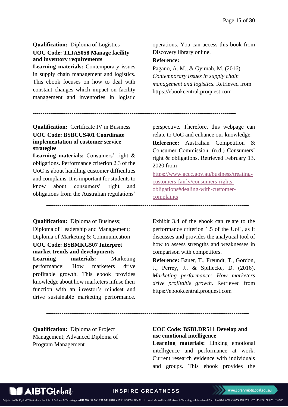# <span id="page-14-0"></span>**Qualification:** Diploma of Logistics **UOC Code: TLIA5058 Manage facility and inventory requirements**

**Learning materials:** Contemporary issues in supply chain management and logistics. This ebook focuses on how to deal with constant changes which impact on facility management and inventories in logistic

### <span id="page-14-1"></span>**Qualification:** Certificate IV in Business **UOC Code: BSBCUS401 Coordinate implementation of customer service strategies**

**Learning materials:** Consumers' right & obligations. Performance criterion 2.3 of the UoC is about handling customer difficulties and complains. It is important for students to know about consumers' right and obligations from the Australian regulations'

<span id="page-14-2"></span>**Qualification:** Diploma of Business; Diploma of Leadership and Management; Diploma of Marketing & Communication **UOC Code: BSBMKG507 Interpret market trends and developments Learning materials:** Marketing performance: How marketers drive profitable growth. This ebook provides knowledge about how marketers infuse their function with an investor's mindset and drive sustainable marketing performance.

**Qualification:** Diploma of Project Management; Advanced Diploma of Program Management

operations. You can access this book from Discovery library online.

#### **Reference:**

**---------------------------------------------------------------------------------------------------------**

**---------------------------------------------------------------------------------------------------------**

Pagano, A. M., & Gyimah, M. (2016). *Contemporary issues in supply chain management and logistics.* Retrieved from https://ebookcentral.proquest.com

perspective. Therefore, this webpage can relate to UoC and enhance our knowledge. **Reference:** Australian Competition & Consumer Commission. (n.d.) Consumers' right & obligations. Retrieved February 13, 2020 from

[https://www.accc.gov.au/business/treating](https://www.accc.gov.au/business/treating-customers-fairly/consumers-rights-obligations#dealing-with-customer-complaints)[customers-fairly/consumers-rights](https://www.accc.gov.au/business/treating-customers-fairly/consumers-rights-obligations#dealing-with-customer-complaints)[obligations#dealing-with-customer](https://www.accc.gov.au/business/treating-customers-fairly/consumers-rights-obligations#dealing-with-customer-complaints)[complaints](https://www.accc.gov.au/business/treating-customers-fairly/consumers-rights-obligations#dealing-with-customer-complaints)

Exhibit 3.4 of the ebook can relate to the performance criterion 1.5 of the UoC, as it discusses and provides the analytical tool of how to assess strengths and weaknesses in comparison with competitors.

**Reference:** Bauer, T., Freundt, T., Gordon, J., Perrey, J., & Spillecke, D. (2016). *Marketing performance: How marketers drive profitable growth.* Retrieved from https://ebookcentral.proquest.com

<span id="page-14-3"></span>**UOC Code: BSBLDR511 Develop and use emotional intelligence**

**Learning materials:** Linking emotional intelligence and performance at work: Current research evidence with individuals and groups. This ebook provides the

**INSPIRE GREATNESS** 

**---------------------------------------------------------------------------------------------------------**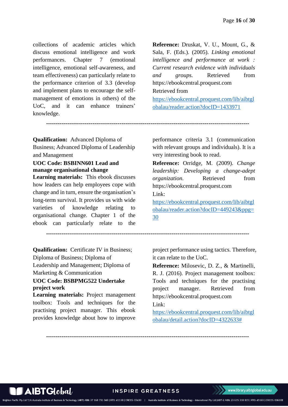collections of academic articles which discuss emotional intelligence and work performances. Chapter 7 (emotional intelligence, emotional self-awareness, and team effectiveness) can particularly relate to the performance criterion of 3.3 (develop and implement plans to encourage the selfmanagement of emotions in others) of the UoC, and it can enhance trainers' knowledge.

**Reference:** Druskat, V. U., Mount, G., & Sala, F. (Eds.). (2005). *Linking emotional intelligence and performance at work : Current research evidence with individuals and groups.* Retrieved from https://ebookcentral.proquest.com Retrieved from

[https://ebookcentral.proquest.com/lib/aibtgl](https://ebookcentral.proquest.com/lib/aibtglobalau/reader.action?docID=1433971) [obalau/reader.action?docID=1433971](https://ebookcentral.proquest.com/lib/aibtglobalau/reader.action?docID=1433971)

**---------------------------------------------------------------------------------------------------------**

**Qualification:** Advanced Diploma of Business; Advanced Diploma of Leadership and Management

#### <span id="page-15-0"></span>**UOC Code: BSBINN601 Lead and manage organisational change**

**Learning materials:** This ebook discusses how leaders can help employees cope with change and in turn, ensure the organisation's long-term survival. It provides us with wide varieties of knowledge relating to organisational change. Chapter 1 of the ebook can particularly relate to the performance criteria 3.1 (communication with relevant groups and individuals). It is a very interesting book to read.

**Reference:** Orridge, M. (2009). *Change leadership: Developing a change-adept organization.* Retrieved from https://ebookcentral.proquest.com Link:

[https://ebookcentral.proquest.com/lib/aibtgl](https://ebookcentral.proquest.com/lib/aibtglobalau/reader.action?docID=449243&ppg=30) [obalau/reader.action?docID=449243&ppg=](https://ebookcentral.proquest.com/lib/aibtglobalau/reader.action?docID=449243&ppg=30) [30](https://ebookcentral.proquest.com/lib/aibtglobalau/reader.action?docID=449243&ppg=30)

**---------------------------------------------------------------------------------------------------------**

**Qualification:** Certificate IV in Business; Diploma of Business; Diploma of Leadership and Management; Diploma of Marketing & Communication

#### <span id="page-15-1"></span>**UOC Code: BSBPMG522 Undertake project work**

**Learning materials:** Project management toolbox: Tools and techniques for the practising project manager. This ebook provides knowledge about how to improve

project performance using tactics. Therefore, it can relate to the UoC.

**Reference:** Milosevic, D. Z., & Martinelli, R. J. (2016). Project management toolbox: Tools and techniques for the practising project manager. Retrieved from https://ebookcentral.proquest.com Link:

[https://ebookcentral.proquest.com/lib/aibtgl](https://ebookcentral.proquest.com/lib/aibtglobalau/detail.action?docID=4322633) [obalau/detail.action?docID=4322633#](https://ebookcentral.proquest.com/lib/aibtglobalau/detail.action?docID=4322633)

**---------------------------------------------------------------------------------------------------------**

**INSPIRE GREATNESS**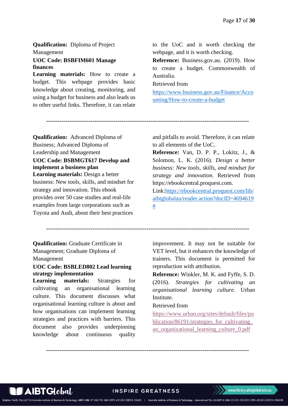**Qualification:** Diploma of Project Management

#### <span id="page-16-0"></span>**UOC Code: BSBFIM601 Manage finances**

**Learning materials:** How to create a budget. This webpage provides basic knowledge about creating, monitoring, and using a budget for business and also leads us to other useful links. Therefore, it can relate

to the UoC and it worth checking the webpage, and it is worth checking.

**Reference:** Business.gov.au. (2019). How to create a budget. Commonwealth of Australia.

Retrieved from

[https://www.business.gov.au/Finance/Acco](https://www.business.gov.au/Finance/Accounting/How-to-create-a-budget) [unting/How-to-create-a-budget](https://www.business.gov.au/Finance/Accounting/How-to-create-a-budget)

**Qualification:** Advanced Diploma of Business; Advanced Diploma of Leadership and Management **UOC Code: BSBMGT617 Develop and implement a business plan**

<span id="page-16-1"></span>**Learning materials:** Design a better business: New tools, skills, and mindset for strategy and innovation. This ebook provides over 50 case studies and real-life examples from large corporations such as Toyota and Audi, about their best practices

and pitfalls to avoid. Therefore, it can relate to all elements of the UoC.

**Reference:** Van, D. P. P., Lokitz, J., & Solomon, L. K. (2016). *Design a better business: New tools, skills, and mindset for strategy and innovation.* Retrieved from https://ebookcentral.proquest.com.

Link[:https://ebookcentral.proquest.com/lib/](https://ebookcentral.proquest.com/lib/aibtglobalau/reader.action?docID=4694619) [aibtglobalau/reader.action?docID=4694619](https://ebookcentral.proquest.com/lib/aibtglobalau/reader.action?docID=4694619) [#](https://ebookcentral.proquest.com/lib/aibtglobalau/reader.action?docID=4694619)

**---------------------------------------------------------------------------------------------------------**

**---------------------------------------------------------------------------------------------------------**

**Qualification:** Graduate Certificate in Management; Graduate Diploma of Management

### <span id="page-16-2"></span>**UOC Code: BSBLED802 Lead learning strategy implementation**

**Learning materials:** Strategies for cultivating an organisational learning culture. This document discusses what organisational learning culture is about and how organisations can implement learning strategies and practices with barriers. This document also provides underpinning knowledge about continuous quality

improvement. It may not be suitable for VET level, but it enhances the knowledge of trainers. This document is permitted for reproduction with attribution.

**Reference:** Winkler, M. K. and Fyffe, S. D. (2016). *Strategies for cultivating an organisational learning culture.* Urban **Institute.** 

#### Retrieved from

[https://www.urban.org/sites/default/files/pu](https://www.urban.org/sites/default/files/publication/86191/strategies_for_cultivating_an_organizational_learning_culture_0.pdf) blication/86191/strategies for cultivating [an\\_organizational\\_learning\\_culture\\_0.pdf](https://www.urban.org/sites/default/files/publication/86191/strategies_for_cultivating_an_organizational_learning_culture_0.pdf)

**---------------------------------------------------------------------------------------------------------**



#### **INSPIRE GREATNESS**

www.library.aibtglobal.edu.au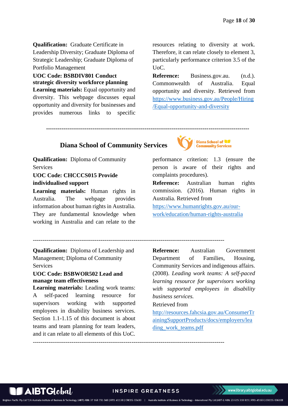**Qualification:** Graduate Certificate in Leadership Diversity; Graduate Diploma of Strategic Leadership; Graduate Diploma of Portfolio Management

<span id="page-17-0"></span>**UOC Code: BSBDIV801 Conduct strategic diversity workforce planning Learning materials:** Equal opportunity and

diversity. This webpage discusses equal opportunity and diversity for businesses and provides numerous links to specific

resources relating to diversity at work. Therefore, it can relate closely to element 3, particularly performance criterion 3.5 of the UoC.

**Reference:** Business.gov.au. (n.d.). Commonwealth of Australia. Equal opportunity and diversity. Retrieved from [https://www.business.gov.au/People/Hiring](https://www.business.gov.au/People/Hiring/Equal-opportunity-and-diversity) [/Equal-opportunity-and-diversity](https://www.business.gov.au/People/Hiring/Equal-opportunity-and-diversity)

**---------------------------------------------------------------------------------------------------------**

# **Diana School of Community Services**

**Qualification:** Diploma of Community Services

### <span id="page-17-1"></span>**UOC Code: CHCCCS015 Provide individualised support**

**Learning materials:** Human rights in Australia. The webpage provides information about human rights in Australia. They are fundamental knowledge when working in Australia and can relate to the



performance criterion: 1.3 (ensure the person is aware of their rights and complaints procedures).

**Reference:** Australian human rights commission. (2016). Human rights in Australia. Retrieved from

[https://www.humanrights.gov.au/our](https://www.humanrights.gov.au/our-work/education/human-rights-australia)[work/education/human-rights-australia](https://www.humanrights.gov.au/our-work/education/human-rights-australia)

---------------------------------------------------------------------------------------------------

---------------------------------------------------------------------------------------------------

**Qualification:** Diploma of Leadership and Management; Diploma of Community Services

### <span id="page-17-2"></span>**UOC Code: BSBWOR502 Lead and manage team effectiveness**

**Learning materials:** Leading work teams: A self-paced learning resource for supervisors working with supported employees in disability business services. Section 1.1-1.15 of this document is about teams and team planning for team leaders, and it can relate to all elements of this UoC.

**Reference:** Australian Government Department of Families, Housing, Community Services and indigenous affairs. (2008). *Leading work teams: A self-paced learning resource for supervisors working with supported employees in disability business services.* 

#### Retrieved from

[http://resources.fahcsia.gov.au/ConsumerTr](http://resources.fahcsia.gov.au/ConsumerTrainingSupportProducts/docs/employers/leading_work_teams.pdf) [ainingSupportProducts/docs/employers/lea](http://resources.fahcsia.gov.au/ConsumerTrainingSupportProducts/docs/employers/leading_work_teams.pdf) [ding\\_work\\_teams.pdf](http://resources.fahcsia.gov.au/ConsumerTrainingSupportProducts/docs/employers/leading_work_teams.pdf)

## **INSPIRE GREATNESS**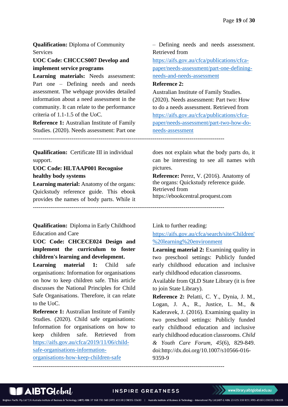**Qualification:** Diploma of Community Services

### <span id="page-18-0"></span>**UOC Code: CHCCCS007 Develop and implement service programs**

**Learning materials:** Needs assessment: Part one – Defining needs and needs assessment. The webpage provides detailed information about a need assessment in the community. It can relate to the performance criteria of 1.1-1.5 of the UoC.

**Reference 1:** Australian Institute of Family Studies. (2020). Needs assessment: Part one

**Qualification:** Certificate III in individual support.

<span id="page-18-1"></span>**UOC Code: HLTAAP001 Recognise healthy body systems**

**Learning material:** Anatomy of the organs: Quickstudy reference guide. This ebook provides the names of body parts. While it

---------------------------------------------------------------------------------------------------

**Qualification:** Diploma in Early Childhood Education and Care

<span id="page-18-2"></span>**UOC Code: CHCECE024 Design and implement the curriculum to foster children's learning and development.**

<span id="page-18-3"></span>**Learning material 1:** Child safe organisations: Information for organisations on how to keep children safe. This article discusses the National Principles for Child Safe Organisations. Therefore, it can relate to the UoC.

**Reference 1:** Australian Institute of Family Studies. (2020). Child safe organisations: Information for organisations on how to keep children safe. Retrieved from [https://aifs.gov.au/cfca/2019/11/06/child](https://aifs.gov.au/cfca/2019/11/06/child-safe-organisations-information-organisations-how-keep-children-safe)[safe-organisations-information](https://aifs.gov.au/cfca/2019/11/06/child-safe-organisations-information-organisations-how-keep-children-safe)[organisations-how-keep-children-safe](https://aifs.gov.au/cfca/2019/11/06/child-safe-organisations-information-organisations-how-keep-children-safe)

– Defining needs and needs assessment. Retrieved from

[https://aifs.gov.au/cfca/publications/cfca](https://aifs.gov.au/cfca/publications/cfca-paper/needs-assessment/part-one-defining-needs-and-needs-assessment)[paper/needs-assessment/part-one-defining](https://aifs.gov.au/cfca/publications/cfca-paper/needs-assessment/part-one-defining-needs-and-needs-assessment)[needs-and-needs-assessment](https://aifs.gov.au/cfca/publications/cfca-paper/needs-assessment/part-one-defining-needs-and-needs-assessment)

#### **Reference 2:**

Australian Institute of Family Studies. (2020). Needs assessment: Part two: How to do a needs assessment. Retrieved from [https://aifs.gov.au/cfca/publications/cfca](https://aifs.gov.au/cfca/publications/cfca-paper/needs-assessment/part-two-how-do-needs-assessment)[paper/needs-assessment/part-two-how-do](https://aifs.gov.au/cfca/publications/cfca-paper/needs-assessment/part-two-how-do-needs-assessment)[needs-assessment](https://aifs.gov.au/cfca/publications/cfca-paper/needs-assessment/part-two-how-do-needs-assessment)

---------------------------------------------------------------------------------------------------

does not explain what the body parts do, it can be interesting to see all names with pictures.

**Reference:** Perez, V. (2016). Anatomy of the organs: Quickstudy reference guide. Retrieved from https://ebookcentral.proquest.com

Link to further reading:

[https://aifs.gov.au/cfca/search/site/Children'](https://aifs.gov.au/cfca/search/site/Children) [%20learning%20environment](https://aifs.gov.au/cfca/search/site/Children)

**Learning material 2:** Examining quality in two preschool settings: Publicly funded early childhood education and inclusive early childhood education classrooms.

Available from QLD State Library (it is free to join State Library).

**Reference 2:** Pelatti, C. Y., Dynia, J. M., Logan, J. A., R., Justice, L. M., & Kaderavek, J. (2016). Examining quality in two preschool settings: Publicly funded early childhood education and inclusive early childhood education classrooms. *Child & Youth Care Forum, 45*(6), 829-849. doi:http://dx.doi.org/10.1007/s10566-016- 9359-9



#### **INSPIRE GREATNESS**

---------------------------------------------------------------------------------------------------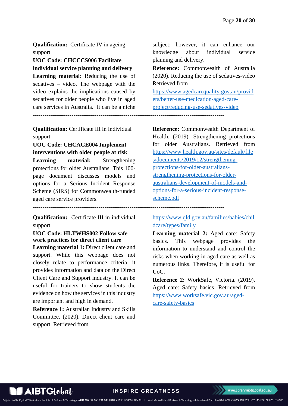**Qualification:** Certificate IV in ageing support

<span id="page-19-0"></span>**UOC Code: CHCCCS006 Facilitate individual service planning and delivery**

**Learning material:** Reducing the use of sedatives – video. The webpage with the video explains the implications caused by sedatives for older people who live in aged care services in Australia. It can be a niche

**Qualification:** Certificate III in individual support

<span id="page-19-1"></span>**UOC Code: CHCAGE004 Implement interventions with older people at risk**

Learning material: Strengthening protections for older Australians. This 100 page document discusses models and options for a Serious Incident Response Scheme (SIRS) for Commonwealth-funded aged care service providers.

---------------------------------------------------------------------------------------------------

**Qualification:** Certificate III in individual support

# <span id="page-19-2"></span>**UOC Code: HLTWHS002 Follow safe work practices for direct client care**

**Learning material 1:** Direct client care and support. While this webpage does not closely relate to performance criteria, it provides information and data on the Direct Client Care and Support industry. It can be useful for trainers to show students the evidence on how the services in this industry are important and high in demand.

**Reference 1:** Australian Industry and Skills Committee. (2020). Direct client care and support. Retrieved from

subject; however, it can enhance our knowledge about individual service planning and delivery.

**Reference:** Commonwealth of Australia (2020). Reducing the use of sedatives-video Retrieved from

[https://www.agedcarequality.gov.au/provid](https://www.agedcarequality.gov.au/providers/better-use-medication-aged-care-project/reducing-use-sedatives-video) [ers/better-use-medication-aged-care](https://www.agedcarequality.gov.au/providers/better-use-medication-aged-care-project/reducing-use-sedatives-video)[project/reducing-use-sedatives-video](https://www.agedcarequality.gov.au/providers/better-use-medication-aged-care-project/reducing-use-sedatives-video)

---------------------------------------------------------------------------------------------------

**Reference:** Commonwealth Department of Health. (2019). Strengthening protections for older Australians. Retrieved from [https://www.health.gov.au/sites/default/file](https://www.health.gov.au/sites/default/files/documents/2019/12/strengthening-protections-for-older-australians-strengthening-protections-for-older-australians-development-of-models-and-options-for-a-serious-incident-response-scheme.pdf) [s/documents/2019/12/strengthening](https://www.health.gov.au/sites/default/files/documents/2019/12/strengthening-protections-for-older-australians-strengthening-protections-for-older-australians-development-of-models-and-options-for-a-serious-incident-response-scheme.pdf)[protections-for-older-australians](https://www.health.gov.au/sites/default/files/documents/2019/12/strengthening-protections-for-older-australians-strengthening-protections-for-older-australians-development-of-models-and-options-for-a-serious-incident-response-scheme.pdf)[strengthening-protections-for-older](https://www.health.gov.au/sites/default/files/documents/2019/12/strengthening-protections-for-older-australians-strengthening-protections-for-older-australians-development-of-models-and-options-for-a-serious-incident-response-scheme.pdf)[australians-development-of-models-and](https://www.health.gov.au/sites/default/files/documents/2019/12/strengthening-protections-for-older-australians-strengthening-protections-for-older-australians-development-of-models-and-options-for-a-serious-incident-response-scheme.pdf)[options-for-a-serious-incident-response](https://www.health.gov.au/sites/default/files/documents/2019/12/strengthening-protections-for-older-australians-strengthening-protections-for-older-australians-development-of-models-and-options-for-a-serious-incident-response-scheme.pdf)[scheme.pdf](https://www.health.gov.au/sites/default/files/documents/2019/12/strengthening-protections-for-older-australians-strengthening-protections-for-older-australians-development-of-models-and-options-for-a-serious-incident-response-scheme.pdf)

[https://www.qld.gov.au/families/babies/chil](https://www.qld.gov.au/families/babies/childcare/types/family) [dcare/types/family](https://www.qld.gov.au/families/babies/childcare/types/family)

**Learning material 2:** Aged care: Safety basics. This webpage provides the information to understand and control the risks when working in aged care as well as numerous links. Therefore, it is useful for UoC.

**Reference 2:** WorkSafe, Victoria. (2019). Aged care: Safety basics. Retrieved from [https://www.worksafe.vic.gov.au/aged](https://www.worksafe.vic.gov.au/aged-care-safety-basics)[care-safety-basics](https://www.worksafe.vic.gov.au/aged-care-safety-basics)

**INSPIRE GREATNESS** 

---------------------------------------------------------------------------------------------------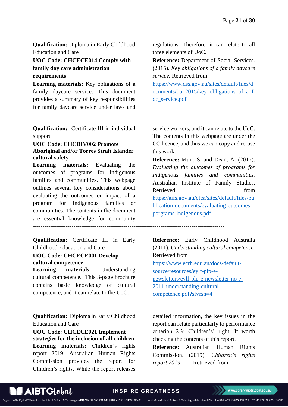**Qualification:** Diploma in Early Childhood Education and Care

<span id="page-20-0"></span>**UOC Code: CHCECE014 Comply with family day care administration requirements**

**Learning materials:** Key obligations of a family daycare service. This document provides a summary of key responsibilities for family daycare service under laws and

**Qualification:** Certificate III in individual support

---------------------------------------------------------------------------------------------------

#### <span id="page-20-1"></span>**UOC Code: CHCDIV002 Promote Aboriginal and/or Torres Strait Islander cultural safety**

**Learning materials:** Evaluating the outcomes of programs for Indigenous families and communities. This webpage outlines several key considerations about evaluating the outcomes or impact of a program for Indigenous families or communities. The contents in the document are essential knowledge for community ---------------------------------------------------------------------------------------------------

**Qualification:** Certificate III in Early Childhood Education and Care

#### <span id="page-20-2"></span>**UOC Code: CHCECE001 Develop cultural competence**

**Learning materials:** Understanding cultural competence. This 3-page brochure contains basic knowledge of cultural competence, and it can relate to the UoC.

**Qualification:** Diploma in Early Childhood Education and Care

<span id="page-20-3"></span>**UOC Code: CHCECE021 Implement strategies for the inclusion of all children Learning materials:** Children's rights report 2019. Australian Human Rights Commission provides the report for Children's rights. While the report releases regulations. Therefore, it can relate to all three elements of UoC.

**Reference:** Department of Social Services. (2015). *Key obligations of a family daycare service.* Retrieved from

[https://www.dss.gov.au/sites/default/files/d](https://www.dss.gov.au/sites/default/files/documents/05_2015/key_obligations_of_a_fdc_service.pdf) [ocuments/05\\_2015/key\\_obligations\\_of\\_a\\_f](https://www.dss.gov.au/sites/default/files/documents/05_2015/key_obligations_of_a_fdc_service.pdf) [dc\\_service.pdf](https://www.dss.gov.au/sites/default/files/documents/05_2015/key_obligations_of_a_fdc_service.pdf)

service workers, and it can relate to the UoC. The contents in this webpage are under the CC licence, and thus we can copy and re-use this work.

**Reference:** Muir, S. and Dean, A. (2017). *Evaluating the outcomes of programs for Indigenous families and communities.*  Australian Institute of Family Studies. Retrieved from [https://aifs.gov.au/cfca/sites/default/files/pu](https://aifs.gov.au/cfca/sites/default/files/publication-documents/evaluating-outcomes-porgrams-indigenous.pdf) [blication-documents/evaluating-outcomes](https://aifs.gov.au/cfca/sites/default/files/publication-documents/evaluating-outcomes-porgrams-indigenous.pdf)[porgrams-indigenous.pdf](https://aifs.gov.au/cfca/sites/default/files/publication-documents/evaluating-outcomes-porgrams-indigenous.pdf)

**Reference:** Early Childhood Australia (2011). *Understanding cultural competence.* Retrieved from [https://www.ecrh.edu.au/docs/default](https://www.ecrh.edu.au/docs/default-source/resources/eylf-plp-e-newsletters/eylf-plp-e-newsletter-no-7-2011-understanding-cultural-competence.pdf?sfvrsn=4)[source/resources/eylf-plp-e](https://www.ecrh.edu.au/docs/default-source/resources/eylf-plp-e-newsletters/eylf-plp-e-newsletter-no-7-2011-understanding-cultural-competence.pdf?sfvrsn=4)[newsletters/eylf-plp-e-newsletter-no-7-](https://www.ecrh.edu.au/docs/default-source/resources/eylf-plp-e-newsletters/eylf-plp-e-newsletter-no-7-2011-understanding-cultural-competence.pdf?sfvrsn=4) [2011-understanding-cultural-](https://www.ecrh.edu.au/docs/default-source/resources/eylf-plp-e-newsletters/eylf-plp-e-newsletter-no-7-2011-understanding-cultural-competence.pdf?sfvrsn=4)

[competence.pdf?sfvrsn=4](https://www.ecrh.edu.au/docs/default-source/resources/eylf-plp-e-newsletters/eylf-plp-e-newsletter-no-7-2011-understanding-cultural-competence.pdf?sfvrsn=4)

detailed information, the key issues in the report can relate particularly to performance criterion 2.3: Children's' right. It worth checking the contents of this report.

**Reference:** Australian Human Rights Commission. (2019). *Children's rights report 2019* Retrieved from

# $AIBTGlobal/$

#### **INSPIRE GREATNESS**

ology (AIBT) ABN: 37 168 731 048 | RTO: 41138 | CRICOS: 03430 | Australia Institute of Business & Technology - International Pty Ltd (AIBT-I) ABN: 23 615 318 815 | RTO: 45169 | CRICOS: 03610E

---------------------------------------------------------------------------------------------------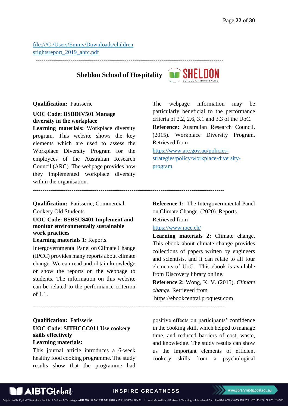[file:///C:/Users/Emmy/Downloads/children](file:///C:/Users/Emmy/Downloads/childrensrightsreport_2019_ahrc.pdf) [srightsreport\\_2019\\_ahrc.pdf](file:///C:/Users/Emmy/Downloads/childrensrightsreport_2019_ahrc.pdf)

# **Sheldon School of Hospitality**

-------------------------------------------------------------------------------------------------

---------------------------------------------------------------------------------------------------



#### **Qualification:** Patisserie

#### <span id="page-21-0"></span>**UOC Code: BSBDIV501 Manage diversity in the workplace**

**Learning materials:** Workplace diversity program. This website shows the key elements which are used to assess the Workplace Diversity Program for the employees of the Australian Research Council (ARC). The webpage provides how they implemented workplace diversity within the organisation.

The webpage information may be particularly beneficial to the performance criteria of 2.2, 2.6, 3.1 and 3.3 of the UoC. **Reference:** Australian Research Council. (2015). Workplace Diversity Program. Retrieved from

[https://www.arc.gov.au/policies](https://www.arc.gov.au/policies-strategies/policy/workplace-diversity-program)[strategies/policy/workplace-diversity](https://www.arc.gov.au/policies-strategies/policy/workplace-diversity-program)[program](https://www.arc.gov.au/policies-strategies/policy/workplace-diversity-program)

**Qualification:** Patisserie; Commercial

Cookery Old Students

<span id="page-21-1"></span>**UOC Code: BSBSUS401 Implement and monitor environmentally sustainable work practices**

**Learning materials 1:** Reports.

Intergovernmental Panel on Climate Change (IPCC) provides many reports about climate change. We can read and obtain knowledge or show the reports on the webpage to students. The information on this website can be related to the performance criterion of 1.1.

<span id="page-21-2"></span>**Qualification:** Patisserie **UOC Code: SITHCCC011 Use cookery skills effectively Learning materials:**

This journal article introduces a 6-week healthy food cooking programme. The study results show that the programme had

**Reference 1:** The Intergovernmental Panel on Climate Change. (2020). Reports. Retrieved from

# <https://www.ipcc.ch/>

**Learning materials 2:** Climate change. This ebook about climate change provides collections of papers written by engineers and scientists, and it can relate to all four elements of UoC. This ebook is available from Discovery library online.

**Reference 2:** Wong, K. V. (2015). *Climate change.* Retrieved from https://ebookcentral.proquest.com

---------------------------------------------------------------------------------------------------

chnology (AIBT) ABN: 37 168 731 048 | RTO: 41138 | CRICOS: 03430 | Australia Institute of Business & Technology - International Pty Ltd (AIBT-I) ABN: 23 615 318 815 | RTO: 45169 | CRICOS: 03610E

positive effects on participants' confidence in the cooking skill, which helped to manage time, and reduced barriers of cost, waste, and knowledge. The study results can show us the important elements of efficient cookery skills from a psychological

**INSPIRE GREATNESS**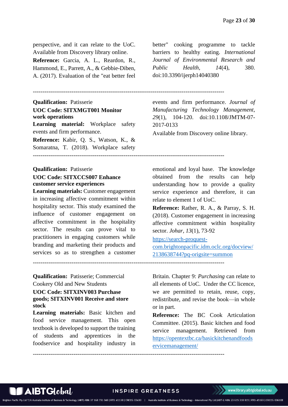perspective, and it can relate to the UoC. Available from Discovery library online. **Reference:** Garcia, A. L., Reardon, R., Hammond, E., Parrett, A., & Gebbie-Diben, A. (2017). Evaluation of the "eat better feel

---------------------------------------------------------------------------------------------------

---------------------------------------------------------------------------------------------------

---------------------------------------------------------------------------------------------------

<span id="page-22-0"></span>**Qualification:** Patisserie **UOC Code: SITXMGT001 Monitor work operations Learning material:** Workplace safety events and firm performance. **Reference:** Kabir, Q. S., Watson, K., & Somaratna, T. (2018). Workplace safety ---------------------------------------------------------------------------------------------------

### <span id="page-22-1"></span>**Qualification:** Patisserie **UOC Code: SITXCCS007 Enhance customer service experiences**

**Learning materials:** Customer engagement in increasing affective commitment within hospitality sector. This study examined the influence of customer engagement on affective commitment in the hospitality sector. The results can prove vital to practitioners in engaging customers while branding and marketing their products and services so as to strengthen a customer

**Qualification:** Patisserie; Commercial Cookery Old and New Students

#### <span id="page-22-2"></span>**UOC Code: SITXINV003 Purchase goods; SITXINV001 Receive and store stock**

**Learning materials:** Basic kitchen and food service management. This open textbook is developed to support the training of students and apprentices in the foodservice and hospitality industry in better" cooking programme to tackle barriers to healthy eating. *International Journal of Environmental Research and Public Health, 14*(4), 380. doi:10.3390/ijerph14040380

events and firm performance. *Journal of Manufacturing Technology Management, 29*(1), 104-120. doi:10.1108/JMTM-07- 2017-0133

Available from Discovery online library.

emotional and loyal base. The knowledge obtained from the results can help understanding how to provide a quality service experience and therefore, it can relate to element 1 of UoC.

**Reference:** Rather, R. A., & Parray, S. H. (2018). Customer engagement in increasing affective commitment within hospitality sector. *Johar, 13*(1), 73-92

[https://search-proquest-](https://search-proquest-com.brightonpacific.idm.oclc.org/docview/2138638744?pq-origsite=summon)

[com.brightonpacific.idm.oclc.org/docview/](https://search-proquest-com.brightonpacific.idm.oclc.org/docview/2138638744?pq-origsite=summon) [2138638744?pq-origsite=summon](https://search-proquest-com.brightonpacific.idm.oclc.org/docview/2138638744?pq-origsite=summon)

Britain. Chapter 9: *Purchasing* can relate to all elements of UoC. Under the CC licence, we are permitted to retain, reuse, copy, redistribute, and revise the book—in whole or in part.

**Reference:** The BC Cook Articulation Committee. (2015). Basic kitchen and food service management. Retrieved from [https://opentextbc.ca/basickitchenandfoods](https://opentextbc.ca/basickitchenandfoodservicemanagement/) [ervicemanagement/](https://opentextbc.ca/basickitchenandfoodservicemanagement/)



#### **INSPIRE GREATNESS**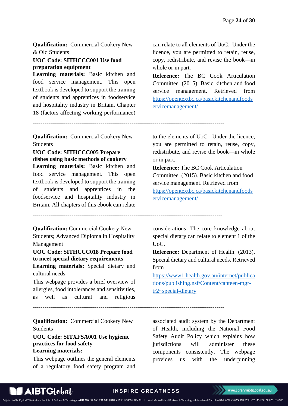**Qualification:** Commercial Cookery New & Old Students

#### <span id="page-23-0"></span>**UOC Code: SITHCCC001 Use food preparation equipment**

**Learning materials:** Basic kitchen and food service management. This open textbook is developed to support the training of students and apprentices in foodservice and hospitality industry in Britain. Chapter 18 (factors affecting working performance)

**Qualification:** Commercial Cookery New Students

---------------------------------------------------------------------------------------------------

--------------------------------------------------------------------------------------------------

---------------------------------------------------------------------------------------------------

<span id="page-23-1"></span>**UOC Code: SITHCCC005 Prepare dishes using basic methods of cookery**

**Learning materials:** Basic kitchen and food service management. This open textbook is developed to support the training of students and apprentices in the foodservice and hospitality industry in Britain. All chapters of this ebook can relate

**Qualification:** Commercial Cookery New Students; Advanced Diploma in Hospitality

Management **UOC Code: SITHCCC018 Prepare food** 

<span id="page-23-2"></span>**to meet special dietary requirements**

**Learning materials:** Special dietary and cultural needs.

This webpage provides a brief overview of allergies, food intolerances and sensitivities, as well as cultural and religious

**Qualification:** Commercial Cookery New Students

#### <span id="page-23-3"></span>**UOC Code: SITXFSA001 Use hygienic practices for food safety Learning materials:**

This webpage outlines the general elements of a regulatory food safety program and

can relate to all elements of UoC. Under the licence, you are permitted to retain, reuse, copy, redistribute, and revise the book—in whole or in part.

**Reference:** The BC Cook Articulation Committee. (2015). Basic kitchen and food service management. Retrieved from [https://opentextbc.ca/basickitchenandfoods](https://opentextbc.ca/basickitchenandfoodservicemanagement/) [ervicemanagement/](https://opentextbc.ca/basickitchenandfoodservicemanagement/)

to the elements of UoC. Under the licence, you are permitted to retain, reuse, copy, redistribute, and revise the book—in whole or in part.

**Reference:** The BC Cook Articulation Committee. (2015). Basic kitchen and food service management. Retrieved from [https://opentextbc.ca/basickitchenandfoods](https://opentextbc.ca/basickitchenandfoodservicemanagement/) [ervicemanagement/](https://opentextbc.ca/basickitchenandfoodservicemanagement/)

considerations. The core knowledge about special dietary can relate to element 1 of the UoC.

**Reference:** Department of Health. (2013). Special dietary and cultural needs. Retrieved from

[https://www1.health.gov.au/internet/publica](https://www1.health.gov.au/internet/publications/publishing.nsf/Content/canteen-mgr-tr2~special-dietary) [tions/publishing.nsf/Content/canteen-mgr](https://www1.health.gov.au/internet/publications/publishing.nsf/Content/canteen-mgr-tr2~special-dietary)[tr2~special-dietary](https://www1.health.gov.au/internet/publications/publishing.nsf/Content/canteen-mgr-tr2~special-dietary)

associated audit system by the Department of Health, including the National Food Safety Audit Policy which explains how jurisdictions will administer these components consistently. The webpage provides us with the underpinning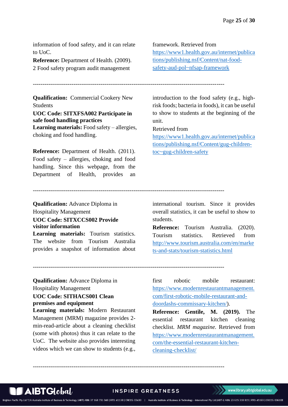information of food safety, and it can relate to UoC.

**Reference:** Department of Health. (2009). 2 Food safety program audit management

framework. Retrieved from [https://www1.health.gov.au/internet/publica](https://www1.health.gov.au/internet/publications/publishing.nsf/Content/nat-food-safety-aud-pol~nfsap-framework) [tions/publishing.nsf/Content/nat-food](https://www1.health.gov.au/internet/publications/publishing.nsf/Content/nat-food-safety-aud-pol~nfsap-framework)[safety-aud-pol~nfsap-framework](https://www1.health.gov.au/internet/publications/publishing.nsf/Content/nat-food-safety-aud-pol~nfsap-framework)

---------------------------------------------------------------------------------------------------

**Qualification:** Commercial Cookery New Students

<span id="page-24-0"></span>**UOC Code: SITXFSA002 Participate in safe food handling practices Learning materials:** Food safety – allergies, choking and food handling.

**Reference:** Department of Health. (2011). Food safety – allergies, choking and food handling. Since this webpage, from the Department of Health, provides an introduction to the food safety (e.g., highrisk foods; bacteria in foods), it can be useful to show to students at the beginning of the unit.

#### Retrieved from

[https://www1.health.gov.au/internet/publica](https://www1.health.gov.au/internet/publications/publishing.nsf/Content/gug-children-toc~gug-children-safety) [tions/publishing.nsf/Content/gug-children](https://www1.health.gov.au/internet/publications/publishing.nsf/Content/gug-children-toc~gug-children-safety)[toc~gug-children-safety](https://www1.health.gov.au/internet/publications/publishing.nsf/Content/gug-children-toc~gug-children-safety)

---------------------------------------------------------------------------------------------------

---------------------------------------------------------------------------------------------------

---------------------------------------------------------------------------------------------------

**Qualification:** Advance Diploma in Hospitality Management

# <span id="page-24-1"></span>**UOC Code: SITXCCS002 Provide visitor information**

**Learning materials:** Tourism statistics. The website from Tourism Australia provides a snapshot of information about international tourism. Since it provides overall statistics, it can be useful to show to students.

**Reference:** Tourism Australia. (2020). Tourism statistics. Retrieved from [http://www.tourism.australia.com/en/marke](http://www.tourism.australia.com/en/markets-and-stats/tourism-statistics.html) [ts-and-stats/tourism-statistics.html](http://www.tourism.australia.com/en/markets-and-stats/tourism-statistics.html)

**Qualification:** Advance Diploma in Hospitality Management

# <span id="page-24-2"></span>**UOC Code: SITHACS001 Clean premises and equipment**

**Learning materials:** Modern Restaurant Management (MRM) magazine provides 2 min-read-article about a cleaning checklist (some with photos) thus it can relate to the UoC. The website also provides interesting videos which we can show to students (e.g.,

first robotic mobile restaurant: [https://www.modernrestaurantmanagement.](https://www.modernrestaurantmanagement.com/first-robotic-mobile-restaurant-and-doordashs-commissary-kitchen/) [com/first-robotic-mobile-restaurant-and](https://www.modernrestaurantmanagement.com/first-robotic-mobile-restaurant-and-doordashs-commissary-kitchen/)[doordashs-commissary-kitchen/\)](https://www.modernrestaurantmanagement.com/first-robotic-mobile-restaurant-and-doordashs-commissary-kitchen/).

**Reference: Gentile, M. (2019).** The essential restaurant kitchen cleaning checklist. *MRM magazine.* Retrieved from [https://www.modernrestaurantmanagement.](https://www.modernrestaurantmanagement.com/the-essential-restaurant-kitchen-cleaning-checklist/) [com/the-essential-restaurant-kitchen](https://www.modernrestaurantmanagement.com/the-essential-restaurant-kitchen-cleaning-checklist/)[cleaning-checklist/](https://www.modernrestaurantmanagement.com/the-essential-restaurant-kitchen-cleaning-checklist/)

#### **INSPIRE GREATNESS**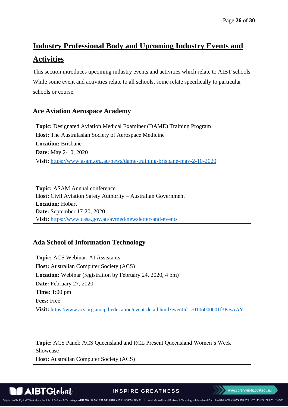# <span id="page-25-0"></span>**Industry Professional Body and Upcoming Industry Events and Activities**

This section introduces upcoming industry events and activities which relate to AIBT schools. While some event and activities relate to all schools, some relate specifically to particular schools or course.

# **Ace Aviation Aerospace Academy**

**Topic:** Designated Aviation Medical Examiner (DAME) Training Program **Host:** The Australasian Society of Aerospace Medicine **Location:** Brisbane **Date:** May 2-10, 2020 V**isit:** <https://www.asam.org.au/news/dame-training-brisbane-may-2-10-2020>

**Topic:** ASAM Annual conference **Host:** Civil Aviation Safety Authority – Australian Government **Location:** Hobart **Date:** September 17-20, 2020 V**isit:** <https://www.casa.gov.au/avmed/newsletter-and-events>

# **Ada School of Information Technology**

**Topic:** ACS Webinar: AI Assistants **Host:** Australian Computer Society (ACS) **Location:** Webinar (registration by February 24, 2020, 4 pm) **Date:** February 27, 2020 **Time:** 1:00 pm **Fees:** Free V**isit:** <https://www.acs.org.au/cpd-education/event-detail.html?eventId=7010o000001f3KBAAY>

**Topic:** ACS Panel: ACS Queensland and RCL Present Queensland Women's Week Showcase

**Host:** Australian Computer Society (ACS)

**AIBTGlobal** 

**INSPIRE GREATNESS**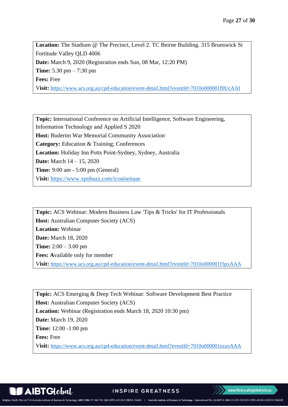**Location:** The Stadium @ The Precinct, Level 2. TC Beirne Building. 315 Brunswick St Fortitude Valley QLD 4006 **Date:** March 9, 2020 (Registration ends Sun, 08 Mar, 12:20 PM) **Time:** 5.30 pm – 7:30 pm **Fees:** Free V**isit:** <https://www.acs.org.au/cpd-education/event-detail.html?eventId=7010o000001f0UcAAI>

**Topic:** International Conference on Artificial Intelligence, Software Engineering, Information Technology and Applied S 2020 **Host:** Buderim War Memorial Community Association **Category:** Education & Training; Conferences **Location:** Holiday Inn Potts Point-Sydney, Sydney, Australia **Date:** March 14 – 15, 2020 **Time:** 9:00 am - 5:00 pm (General) V**isit:** <https://www.xpobuzz.com/icoaiseitaas>

**Topic:** ACS Webinar: Modern Business Law 'Tips & Tricks' for IT Professionals **Host:** Australian Computer Society (ACS) **Location:** Webinar **Date:** March 18, 2020 **Time:** 2:00 – 3.00 pm **Fees: A**vailable only for member V**isit:** <https://www.acs.org.au/cpd-education/event-detail.html?eventId=7010o000001f3pxAAA>

**Topic:** ACS Emerging & Deep Tech Webinar: Software Development Best Practice **Host:** Australian Computer Society (ACS) **Location:** Webinar (Registration ends March 18, 2020 10:30 pm) **Date:** March 19, 2020 **Time:** 12:00 -1:00 pm **Fees:** Free V**isit:** <https://www.acs.org.au/cpd-education/event-detail.html?eventId=7010o000001ezzoAAA>

**INSPIRE GREATNESS**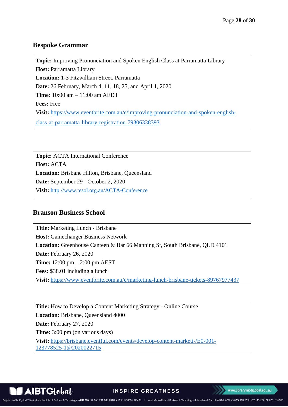# **Bespoke Grammar**

**Topic:** Improving Pronunciation and Spoken English Class at Parramatta Library **Host:** Parramatta Library **Location:** 1-3 Fitzwilliam Street, Parramatta **Date:** 26 February, March 4, 11, 18, 25, and April 1, 2020 **Time:** 10:00 am – 11:00 am AEDT **Fees:** Free V**isit:** [https://www.eventbrite.com.au/e/improving-pronunciation-and-spoken-english](https://www.eventbrite.com.au/e/improving-pronunciation-and-spoken-english-class-at-parramatta-library-registration-79306338393)[class-at-parramatta-library-registration-79306338393](https://www.eventbrite.com.au/e/improving-pronunciation-and-spoken-english-class-at-parramatta-library-registration-79306338393)

**Topic:** ACTA International Conference **Host:** ACTA **Location:** Brisbane Hilton, Brisbane, Queensland **Date:** September 29 - October 2, 2020 V**isit:** <http://www.tesol.org.au/ACTA-Conference>

# **Branson Business School**

**Title:** Marketing Lunch - Brisbane **Host:** Gamechanger Business Network **Location:** Greenhouse Canteen & Bar 66 Manning St, South Brisbane, QLD 4101 **Date:** February 26, 2020 **Time:** 12:00 pm – 2:00 pm AEST **Fees:** \$38.01 including a lunch V**isit:** <https://www.eventbrite.com.au/e/marketing-lunch-brisbane-tickets-89767977437>

**Title:** How to Develop a Content Marketing Strategy - Online Course **Location:** Brisbane, Queensland 4000 **Date:** February 27, 2020 **Time:** 3:00 pm (on various days) V**isit:** [https://brisbane.eventful.com/events/develop-content-marketi-/E0-001-](https://brisbane.eventful.com/events/develop-content-marketi-/E0-001-123778525-1@2020022715) [123778525-1@2020022715](https://brisbane.eventful.com/events/develop-content-marketi-/E0-001-123778525-1@2020022715)

**AIBTGlobal** 

**INSPIRE GREATNESS**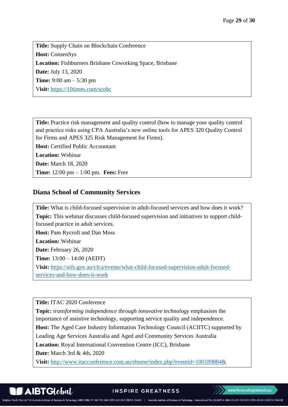**Title:** Supply Chain on Blockchain Conference **Host:** ConsenSys **Location:** Fishburners Brisbane Coworking Space, Brisbane **Date:** July 13, 2020 **Time:** 9:00 am – 5:30 pm V**isit:** <https://10times.com/scobc>

**Title:** Practice risk management and quality control (how to manage your quality control and practice risks using CPA Australia's new online tools for APES 320 Quality Control for Firms and APES 325 Risk Management for Firms).

**Host:** Certified Public Accountant

**Location:** Webinar

**Date:** March 18, 2020

**Time:** 12:00 pm – 1:00 pm. **Fees:** Free

## **Diana School of Community Services**

**Title:** What is child-focused supervision in adult-focused services and how does it work? **Topic:** This webinar discusses child-focused supervision and initiatives to support childfocused practice in adult services.

**Host:** Pam Rycroft and Dan Moss

**Location:** Webinar

**Date:** February 26, 2020

**Time:** 13:00 – 14:00 (AEDT)

V**isit:** [https://aifs.gov.au/cfca/events/what-child-focused-supervision-adult-focused](https://aifs.gov.au/cfca/events/what-child-focused-supervision-adult-focused-services-and-how-does-it-work)[services-and-how-does-it-work](https://aifs.gov.au/cfca/events/what-child-focused-supervision-adult-focused-services-and-how-does-it-work)

**Title:** ITAC 2020 Conference

**Topic:** *transforming independence through innovative technology* emphasises the importance of assistive technology, supporting service quality and independence. **Host:** The Aged Care Industry Information Technology Council (ACIITC) supported by Leading Age Services Australia and Aged and Community Services Australia **Location:** Royal International Convention Centre (ICC), Brisbane **Date:** March 3rd & 4th, 2020

V**isit:** <http://www.itacconference.com.au/ehome/index.php?eventid=100189884&>

 $\mathbf A$ IBT $\mathbf G$ lobal

**INSPIRE GREATNESS**